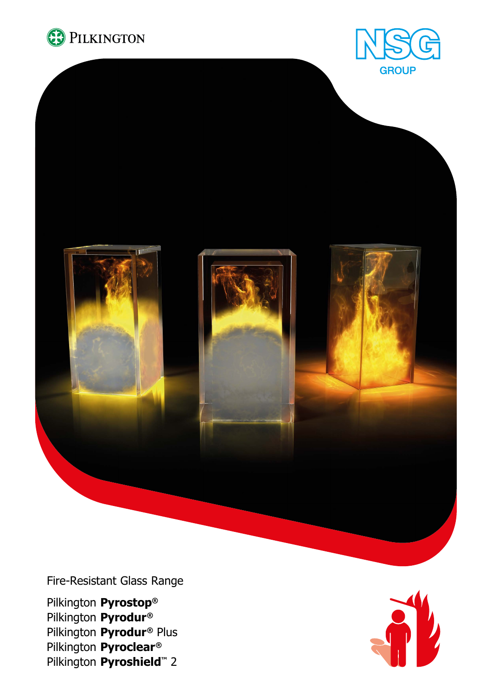





Fire-Resistant Glass Range

Pilkington **Pyrostop®** Pilkington **Pyrodur®** Pilkington **Pyrodur®** Plus Pilkington **Pyroclear®** Pilkington **Pyroshield™** 2

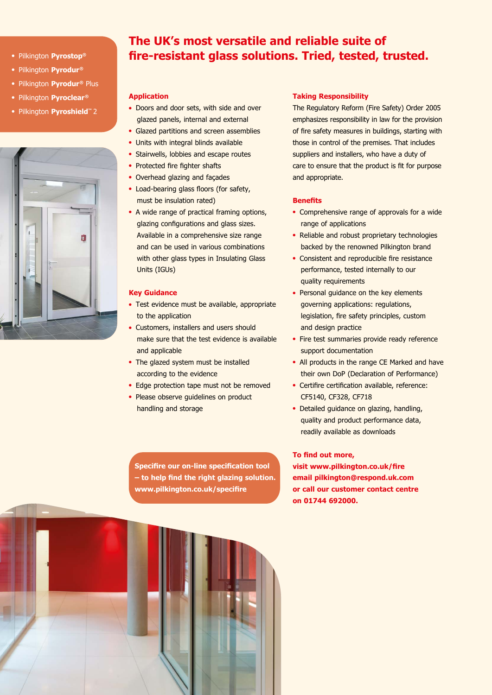- **Pilkington Pyrostop®**
- **Pilkington Pyrodur®**
- l Pilkington **Pyrodur®** Plus
- **Pilkington Pyroclear<sup>®</sup>**
- l Pilkington **Pyroshield™** 2



# **The UK's most versatile and reliable suite of fire-resistant glass solutions. Tried, tested, trusted.**

#### **Application**

- Doors and door sets, with side and over glazed panels, internal and external
- Glazed partitions and screen assemblies
- Units with integral blinds available
- Stairwells, lobbies and escape routes
- Protected fire fighter shafts
- Overhead glazing and façades
- Load-bearing glass floors (for safety, must be insulation rated)
- A wide range of practical framing options, glazing configurations and glass sizes. Available in a comprehensive size range and can be used in various combinations with other glass types in Insulating Glass Units (IGUs)

## **Key Guidance**

- Test evidence must be available, appropriate to the application
- Customers, installers and users should make sure that the test evidence is available and applicable
- The glazed system must be installed according to the evidence
- Edge protection tape must not be removed
- Please observe guidelines on product handling and storage

**Specifire our on-line specification tool – to help find the right glazing solution. www.pilkington.co.uk/specifire**



#### **Taking Responsibility**

The Regulatory Reform (Fire Safety) Order 2005 emphasizes responsibility in law for the provision of fire safety measures in buildings, starting with those in control of the premises. That includes suppliers and installers, who have a duty of care to ensure that the product is fit for purpose and appropriate.

## **Benefits**

- Comprehensive range of approvals for a wide range of applications
- Reliable and robust proprietary technologies backed by the renowned Pilkington brand
- Consistent and reproducible fire resistance performance, tested internally to our quality requirements
- Personal guidance on the key elements governing applications: regulations, legislation, fire safety principles, custom and design practice
- Fire test summaries provide ready reference support documentation
- All products in the range CE Marked and have their own DoP (Declaration of Performance)
- Certifire certification available, reference: CF5140, CF328, CF718
- Detailed guidance on glazing, handling, quality and product performance data, readily available as downloads

# **To find out more,**

**visit www.pilkington.co.uk/fire email pilkington@respond.uk.com or call our customer contact centre on 01744 692000.**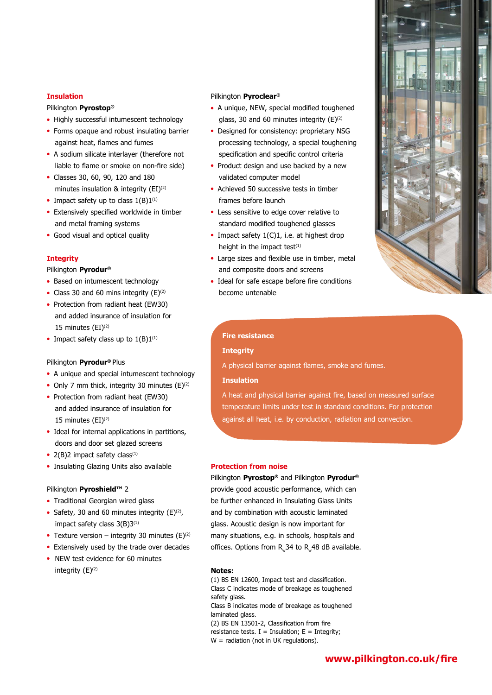

# **Insulation**

#### Pilkington **Pyrostop®**

- Highly successful intumescent technology
- Forms opaque and robust insulating barrier against heat, flames and fumes
- A sodium silicate interlayer (therefore not liable to flame or smoke on non-fire side)
- Classes 30, 60, 90, 120 and 180 minutes insulation & integrity (EI)<sup>(2)</sup>
- Impact safety up to class  $1(B)1^{(1)}$
- Extensively specified worldwide in timber and metal framing systems
- Good visual and optical quality

#### **Integrity**

### Pilkington **Pyrodur®**

- Based on intumescent technology
- Class 30 and 60 mins integrity  $(E)^{(2)}$
- Protection from radiant heat (EW30) and added insurance of insulation for 15 minutes (EI)(2)
- Impact safety class up to  $1(B)1^{(1)}$

#### Pilkington **Pyrodur®** Plus

- A unique and special intumescent technology
- Only 7 mm thick, integrity 30 minutes  $(E)^{(2)}$
- Protection from radiant heat (EW30) and added insurance of insulation for 15 minutes  $(EI)^{(2)}$
- Ideal for internal applications in partitions, doors and door set glazed screens
- $2(B)$ 2 impact safety class<sup>(1)</sup>
- Insulating Glazing Units also available

# Pilkington **Pyroshield™** 2

- Traditional Georgian wired glass
- Safety, 30 and 60 minutes integrity  $(E)^{(2)}$ , impact safety class  $3(B)3^{(1)}$
- Texture version integrity 30 minutes ( $E$ )<sup>(2)</sup>
- Extensively used by the trade over decades
- NEW test evidence for 60 minutes integrity (E)<sup>(2)</sup>

#### Pilkington **Pyroclear®**

- A unique, NEW, special modified toughened glass, 30 and 60 minutes integrity  $(E)^{(2)}$
- Designed for consistency: proprietary NSG processing technology, a special toughening specification and specific control criteria
- Product design and use backed by a new validated computer model
- Achieved 50 successive tests in timber frames before launch
- Less sensitive to edge cover relative to standard modified toughened glasses
- Impact safety  $1(C)1$ , i.e. at highest drop height in the impact test $(1)$
- Large sizes and flexible use in timber, metal and composite doors and screens
- Ideal for safe escape before fire conditions become untenable

#### **Fire resistance**

#### **Integrity**

A physical barrier against flames, smoke and fumes.

#### **Insulation**

A heat and physical barrier against fire, based on measured surface temperature limits under test in standard conditions. For protection against all heat, i.e. by conduction, radiation and convection.

#### **Protection from noise**

Pilkington **Pyrostop®** and Pilkington **Pyrodur®** provide good acoustic performance, which can be further enhanced in Insulating Glass Units and by combination with acoustic laminated glass. Acoustic design is now important for many situations, e.g. in schools, hospitals and offices. Options from  $R_{\nu}$ 34 to  $R_{\nu}$ 48 dB available.

#### **Notes:**

(1) BS EN 12600, Impact test and classification. Class C indicates mode of breakage as toughened safety glass. Class B indicates mode of breakage as toughened laminated glass. (2) BS EN 13501-2, Classification from fire resistance tests.  $I =$  Insulation;  $E =$  Integrity;  $W =$  radiation (not in UK regulations).